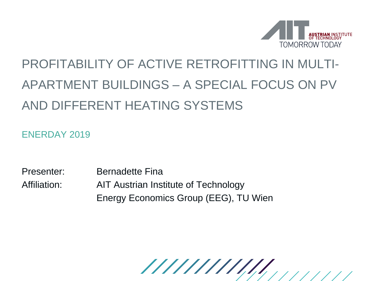

## PROFITABILITY OF ACTIVE RETROFITTING IN MULTI-APARTMENT BUILDINGS – A SPECIAL FOCUS ON PV AND DIFFERENT HEATING SYSTEMS

ENERDAY 2019

Presenter: Bernadette Fina Affiliation: AIT Austrian Institute of Technology Energy Economics Group (EEG), TU Wien

/////////////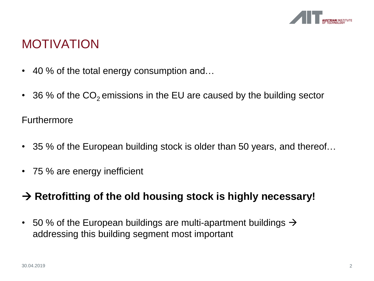

### MOTIVATION

- 40 % of the total energy consumption and...
- 36 % of the  $CO<sub>2</sub>$  emissions in the EU are caused by the building sector

#### Furthermore

- 35 % of the European building stock is older than 50 years, and thereof...
- 75 % are energy inefficient

#### **Retrofitting of the old housing stock is highly necessary!**

• 50 % of the European buildings are multi-apartment buildings  $\rightarrow$ addressing this building segment most important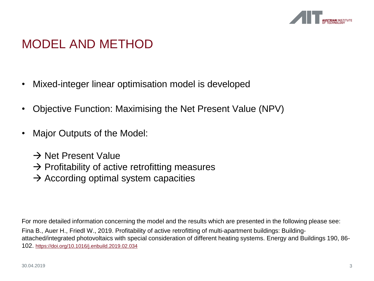

### MODEL AND METHOD

- Mixed-integer linear optimisation model is developed
- Objective Function: Maximising the Net Present Value (NPV)
- Major Outputs of the Model:
	- $\rightarrow$  Net Present Value
	- $\rightarrow$  Profitability of active retrofitting measures
	- $\rightarrow$  According optimal system capacities

For more detailed information concerning the model and the results which are presented in the following please see: Fina B., Auer H., Friedl W., 2019. Profitability of active retrofitting of multi-apartment buildings: Buildingattached/integrated photovoltaics with special consideration of different heating systems. Energy and Buildings 190, 86- 102. <https://doi.org/10.1016/j.enbuild.2019.02.034>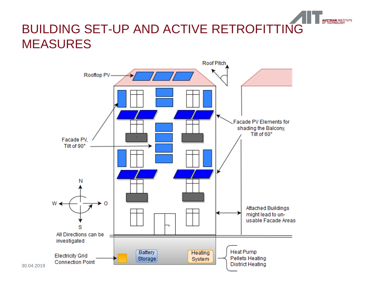### BUILDING SET-UP AND ACTIVE RETROFITTING MEASURES

**NUSTRIAN INSTITUTE** 

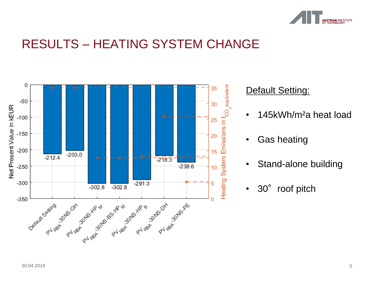

### RESULTS – HEATING SYSTEM CHANGE



#### Default Setting:

- 145kWh/m<sup>2</sup>a heat load
- Gas heating
- Stand-alone building
- 30° roof pitch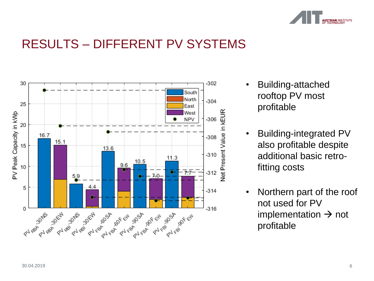

### RESULTS – DIFFERENT PV SYSTEMS



- Building-attached rooftop PV most profitable
- Building-integrated PV also profitable despite additional basic retrofitting costs
- Northern part of the roof not used for PV implementation  $\rightarrow$  not profitable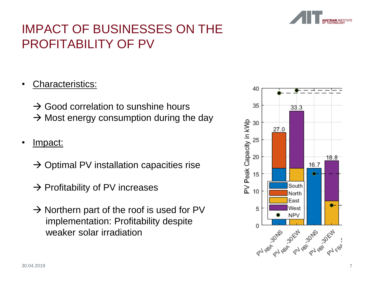

### IMPACT OF BUSINESSES ON THE PROFITABILITY OF PV

#### • Characteristics:

 $\rightarrow$  Good correlation to sunshine hours  $\rightarrow$  Most energy consumption during the day

#### • Impact:

- $\rightarrow$  Optimal PV installation capacities rise
- $\rightarrow$  Profitability of PV increases
- $\rightarrow$  Northern part of the roof is used for PV implementation: Profitability despite weaker solar irradiation

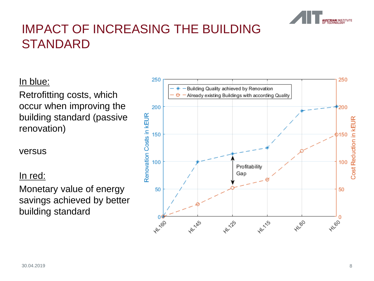

### IMPACT OF INCREASING THE BUILDING **STANDARD**

#### In blue:

Retrofitting costs, which occur when improving the building standard (passive renovation)

versus

#### In red:

Monetary value of energy savings achieved by better building standard

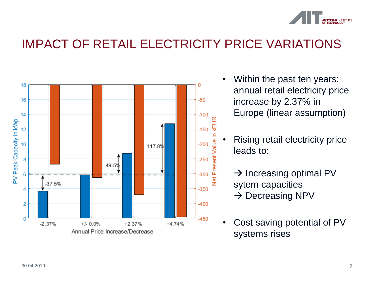

### IMPACT OF RETAIL ELECTRICITY PRICE VARIATIONS



- Within the past ten years: annual retail electricity price increase by 2.37% in Europe (linear assumption)
	- Rising retail electricity price leads to:
		- $\rightarrow$  Increasing optimal PV sytem capacities  $\rightarrow$  Decreasing NPV
- Cost saving potential of PV systems rises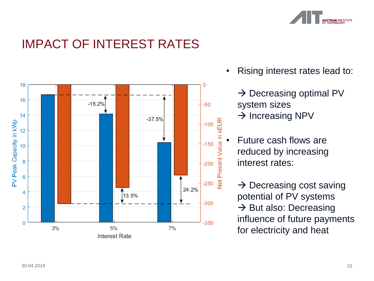

### IMPACT OF INTEREST RATES



• Rising interest rates lead to:

 $\rightarrow$  Decreasing optimal PV system sizes  $\rightarrow$  Increasing NPV

• Future cash flows are reduced by increasing interest rates:

 $\rightarrow$  Decreasing cost saving potential of PV systems  $\rightarrow$  But also: Decreasing influence of future payments for electricity and heat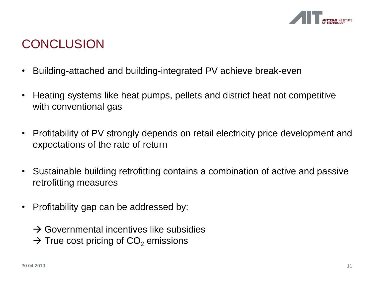

### **CONCLUSION**

- Building-attached and building-integrated PV achieve break-even
- Heating systems like heat pumps, pellets and district heat not competitive with conventional gas
- Profitability of PV strongly depends on retail electricity price development and expectations of the rate of return
- Sustainable building retrofitting contains a combination of active and passive retrofitting measures
- Profitability gap can be addressed by:

 $\rightarrow$  Governmental incentives like subsidies  $\rightarrow$  True cost pricing of CO<sub>2</sub> emissions